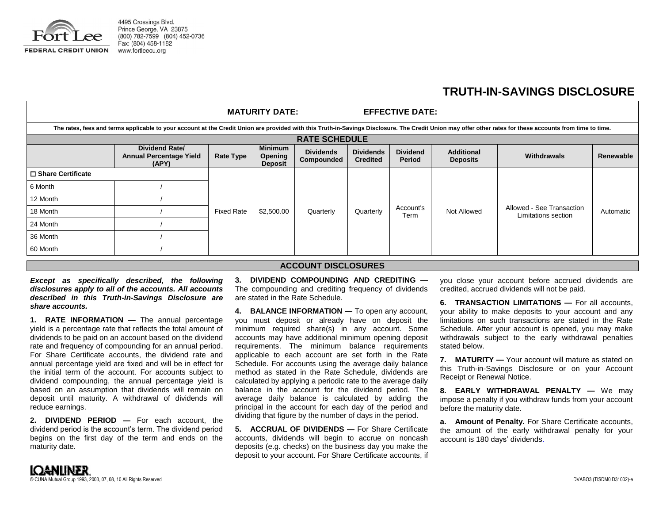

4495 Crossings Blvd. Prince George, VA 23875 (800) 782-7599 (804) 452-0736 Fax: (804) 458-1182

## **TRUTH-IN-SAVINGS DISCLOSURE**

|                                                                                                                                                                                                           |                                                                  |                   | <b>MATURITY DATE:</b>                       |                                |                                     | <b>EFFECTIVE DATE:</b>    |                                      |                                                  |           |  |
|-----------------------------------------------------------------------------------------------------------------------------------------------------------------------------------------------------------|------------------------------------------------------------------|-------------------|---------------------------------------------|--------------------------------|-------------------------------------|---------------------------|--------------------------------------|--------------------------------------------------|-----------|--|
| The rates, fees and terms applicable to your account at the Credit Union are provided with this Truth-in-Savings Disclosure. The Credit Union may offer other rates for these accounts from time to time. |                                                                  |                   |                                             |                                |                                     |                           |                                      |                                                  |           |  |
| <b>RATE SCHEDULE</b>                                                                                                                                                                                      |                                                                  |                   |                                             |                                |                                     |                           |                                      |                                                  |           |  |
|                                                                                                                                                                                                           | <b>Dividend Rate/</b><br><b>Annual Percentage Yield</b><br>(APY) | <b>Rate Type</b>  | <b>Minimum</b><br>Opening<br><b>Deposit</b> | <b>Dividends</b><br>Compounded | <b>Dividends</b><br><b>Credited</b> | <b>Dividend</b><br>Period | <b>Additional</b><br><b>Deposits</b> | Withdrawals                                      | Renewable |  |
| □ Share Certificate                                                                                                                                                                                       |                                                                  |                   |                                             |                                |                                     |                           |                                      |                                                  |           |  |
| 6 Month                                                                                                                                                                                                   |                                                                  | <b>Fixed Rate</b> | \$2,500.00                                  | Quarterly                      | Quarterly                           | Account's<br>Term         | Not Allowed                          | Allowed - See Transaction<br>Limitations section | Automatic |  |
| 12 Month                                                                                                                                                                                                  |                                                                  |                   |                                             |                                |                                     |                           |                                      |                                                  |           |  |
| 18 Month                                                                                                                                                                                                  |                                                                  |                   |                                             |                                |                                     |                           |                                      |                                                  |           |  |
| 24 Month                                                                                                                                                                                                  |                                                                  |                   |                                             |                                |                                     |                           |                                      |                                                  |           |  |
| 36 Month                                                                                                                                                                                                  |                                                                  |                   |                                             |                                |                                     |                           |                                      |                                                  |           |  |
| 60 Month                                                                                                                                                                                                  |                                                                  |                   |                                             |                                |                                     |                           |                                      |                                                  |           |  |

## **ACCOUNT DISCLOSURES**

*Except as specifically described, the following disclosures apply to all of the accounts. All accounts described in this Truth-in-Savings Disclosure are share accounts.* 

**1. RATE INFORMATION —** The annual percentage yield is a percentage rate that reflects the total amount of dividends to be paid on an account based on the dividend rate and frequency of compounding for an annual period. For Share Certificate accounts, the dividend rate and annual percentage yield are fixed and will be in effect for the initial term of the account. For accounts subject to dividend compounding, the annual percentage yield is based on an assumption that dividends will remain on deposit until maturity. A withdrawal of dividends will reduce earnings.

**2. DIVIDEND PERIOD —** For each account, the dividend period is the account's term. The dividend period begins on the first day of the term and ends on the maturity date.

**3. DIVIDEND COMPOUNDING AND CREDITING —** The compounding and crediting frequency of dividends are stated in the Rate Schedule.

**4. BALANCE INFORMATION —** To open any account, you must deposit or already have on deposit the minimum required share(s) in any account. Some accounts may have additional minimum opening deposit requirements. The minimum balance requirements applicable to each account are set forth in the Rate Schedule. For accounts using the average daily balance method as stated in the Rate Schedule, dividends are calculated by applying a periodic rate to the average daily balance in the account for the dividend period. The average daily balance is calculated by adding the principal in the account for each day of the period and dividing that figure by the number of days in the period.

**5. ACCRUAL OF DIVIDENDS —** For Share Certificate accounts, dividends will begin to accrue on noncash deposits (e.g. checks) on the business day you make the deposit to your account. For Share Certificate accounts, if you close your account before accrued dividends are credited, accrued dividends will not be paid.

**6. TRANSACTION LIMITATIONS —** For all accounts, your ability to make deposits to your account and any limitations on such transactions are stated in the Rate Schedule. After your account is opened, you may make withdrawals subject to the early withdrawal penalties stated below.

**7. MATURITY —** Your account will mature as stated on this Truth-in-Savings Disclosure or on your Account Receipt or Renewal Notice.

**8. EARLY WITHDRAWAL PENALTY —** We may impose a penalty if you withdraw funds from your account before the maturity date.

**a. Amount of Penalty.** For Share Certificate accounts, the amount of the early withdrawal penalty for your account is 180 days' dividends.